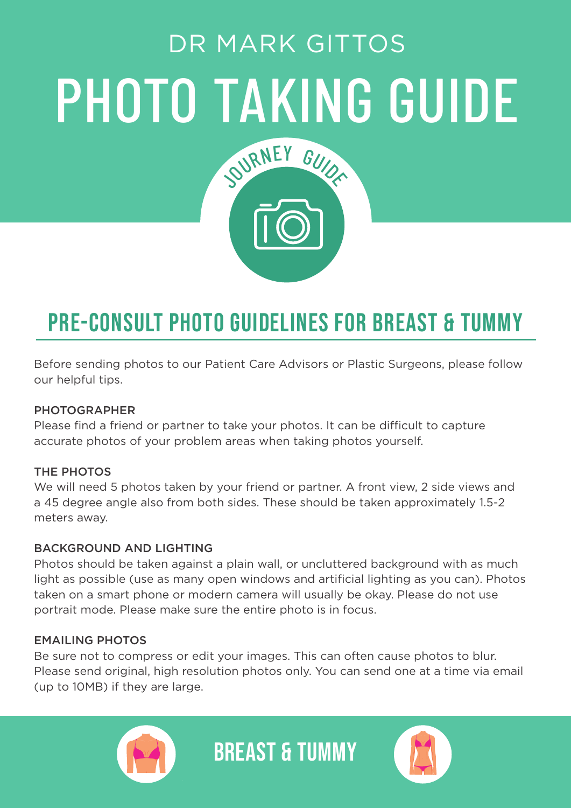# PHOTO TAKING GUIDE DR MARK GITTOS SURNEY GUIDE

### PRE-CONSULT PHOTO GUIDELINES FOR BREAST & TUMMY

Before sending photos to our Patient Care Advisors or Plastic Surgeons, please follow our helpful tips.

#### PHOTOGRAPHER

Please find a friend or partner to take your photos. It can be difficult to capture accurate photos of your problem areas when taking photos yourself.

#### THE PHOTOS

We will need 5 photos taken by your friend or partner. A front view, 2 side views and a 45 degree angle also from both sides. These should be taken approximately 1.5-2 meters away.

#### BACKGROUND AND LIGHTING

Photos should be taken against a plain wall, or uncluttered background with as much light as possible (use as many open windows and artificial lighting as you can). Photos taken on a smart phone or modern camera will usually be okay. Please do not use portrait mode. Please make sure the entire photo is in focus.

#### EMAILING PHOTOS

Be sure not to compress or edit your images. This can often cause photos to blur. Please send original, high resolution photos only. You can send one at a time via email (up to 10MB) if they are large.

BREAST & TUMMY